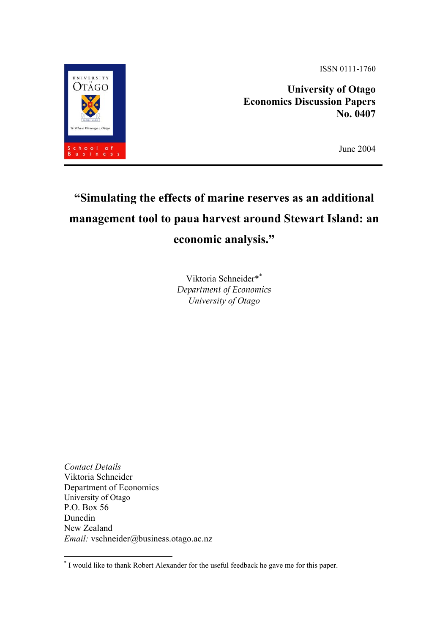ISSN 0111-1760

**University of Otago Economics Discussion Papers No. 0407** 

June 2004

# **"Simulating the effects of marine reserves as an additional management tool to paua harvest around Stewart Island: an economic analysis."**

Viktoria Schneider[\\*\\*](#page-0-0) *Department of Economics University of Otago* 

*Contact Details*  Viktoria Schneider Department of Economics University of Otago P.O. Box 56 Dunedin New Zealand *Email:* vschneider@business.otago.ac.nz



<span id="page-0-0"></span><sup>\*</sup> I would like to thank Robert Alexander for the useful feedback he gave me for this paper.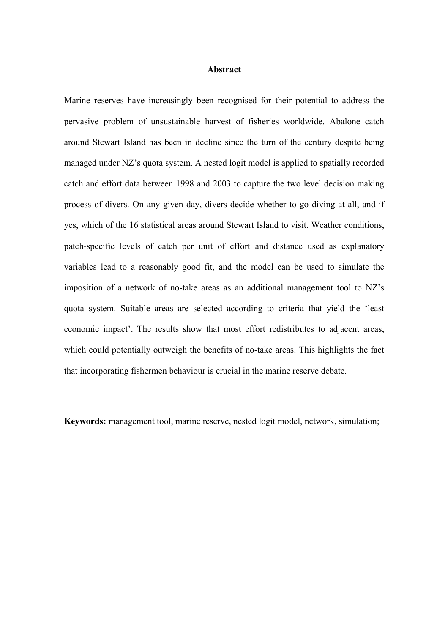## **Abstract**

Marine reserves have increasingly been recognised for their potential to address the pervasive problem of unsustainable harvest of fisheries worldwide. Abalone catch around Stewart Island has been in decline since the turn of the century despite being managed under NZ's quota system. A nested logit model is applied to spatially recorded catch and effort data between 1998 and 2003 to capture the two level decision making process of divers. On any given day, divers decide whether to go diving at all, and if yes, which of the 16 statistical areas around Stewart Island to visit. Weather conditions, patch-specific levels of catch per unit of effort and distance used as explanatory variables lead to a reasonably good fit, and the model can be used to simulate the imposition of a network of no-take areas as an additional management tool to NZ's quota system. Suitable areas are selected according to criteria that yield the 'least economic impact'. The results show that most effort redistributes to adjacent areas, which could potentially outweigh the benefits of no-take areas. This highlights the fact that incorporating fishermen behaviour is crucial in the marine reserve debate.

**Keywords:** management tool, marine reserve, nested logit model, network, simulation;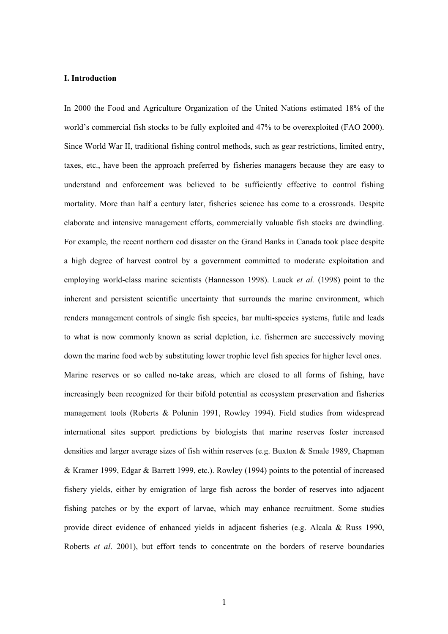#### **I. Introduction**

In 2000 the Food and Agriculture Organization of the United Nations estimated 18% of the world's commercial fish stocks to be fully exploited and 47% to be overexploited (FAO 2000). Since World War II, traditional fishing control methods, such as gear restrictions, limited entry, taxes, etc., have been the approach preferred by fisheries managers because they are easy to understand and enforcement was believed to be sufficiently effective to control fishing mortality. More than half a century later, fisheries science has come to a crossroads. Despite elaborate and intensive management efforts, commercially valuable fish stocks are dwindling. For example, the recent northern cod disaster on the Grand Banks in Canada took place despite a high degree of harvest control by a government committed to moderate exploitation and employing world-class marine scientists (Hannesson 1998). Lauck *et al.* (1998) point to the inherent and persistent scientific uncertainty that surrounds the marine environment, which renders management controls of single fish species, bar multi-species systems, futile and leads to what is now commonly known as serial depletion, i.e. fishermen are successively moving down the marine food web by substituting lower trophic level fish species for higher level ones. Marine reserves or so called no-take areas, which are closed to all forms of fishing, have increasingly been recognized for their bifold potential as ecosystem preservation and fisheries management tools (Roberts & Polunin 1991, Rowley 1994). Field studies from widespread international sites support predictions by biologists that marine reserves foster increased densities and larger average sizes of fish within reserves (e.g. Buxton & Smale 1989, Chapman & Kramer 1999, Edgar & Barrett 1999, etc.). Rowley (1994) points to the potential of increased fishery yields, either by emigration of large fish across the border of reserves into adjacent fishing patches or by the export of larvae, which may enhance recruitment. Some studies provide direct evidence of enhanced yields in adjacent fisheries (e.g. Alcala & Russ 1990, Roberts *et al*. 2001), but effort tends to concentrate on the borders of reserve boundaries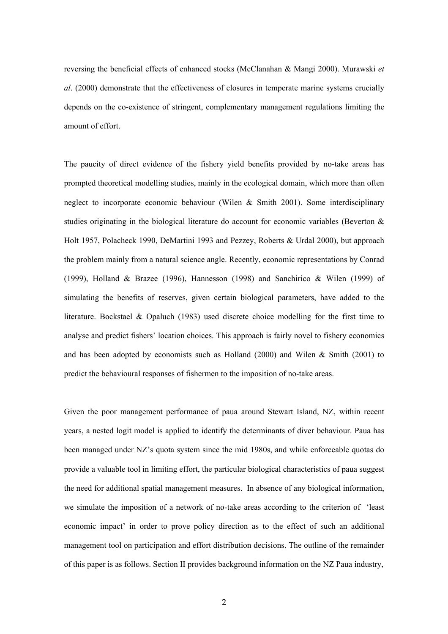reversing the beneficial effects of enhanced stocks (McClanahan & Mangi 2000). Murawski *et al*. (2000) demonstrate that the effectiveness of closures in temperate marine systems crucially depends on the co-existence of stringent, complementary management regulations limiting the amount of effort.

The paucity of direct evidence of the fishery yield benefits provided by no-take areas has prompted theoretical modelling studies, mainly in the ecological domain, which more than often neglect to incorporate economic behaviour (Wilen & Smith 2001). Some interdisciplinary studies originating in the biological literature do account for economic variables (Beverton  $\&$ Holt 1957, Polacheck 1990, DeMartini 1993 and Pezzey, Roberts & Urdal 2000), but approach the problem mainly from a natural science angle. Recently, economic representations by Conrad (1999), Holland & Brazee (1996), Hannesson (1998) and Sanchirico & Wilen (1999) of simulating the benefits of reserves, given certain biological parameters, have added to the literature. Bockstael & Opaluch (1983) used discrete choice modelling for the first time to analyse and predict fishers' location choices. This approach is fairly novel to fishery economics and has been adopted by economists such as Holland (2000) and Wilen  $\&$  Smith (2001) to predict the behavioural responses of fishermen to the imposition of no-take areas.

Given the poor management performance of paua around Stewart Island, NZ, within recent years, a nested logit model is applied to identify the determinants of diver behaviour. Paua has been managed under NZ's quota system since the mid 1980s, and while enforceable quotas do provide a valuable tool in limiting effort, the particular biological characteristics of paua suggest the need for additional spatial management measures. In absence of any biological information, we simulate the imposition of a network of no-take areas according to the criterion of 'least economic impact' in order to prove policy direction as to the effect of such an additional management tool on participation and effort distribution decisions. The outline of the remainder of this paper is as follows. Section II provides background information on the NZ Paua industry,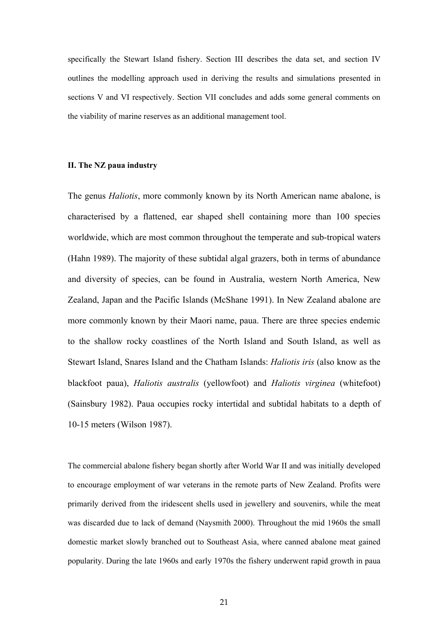specifically the Stewart Island fishery. Section III describes the data set, and section IV outlines the modelling approach used in deriving the results and simulations presented in sections V and VI respectively. Section VII concludes and adds some general comments on the viability of marine reserves as an additional management tool.

#### **II. The NZ paua industry**

The genus *Haliotis*, more commonly known by its North American name abalone, is characterised by a flattened, ear shaped shell containing more than 100 species worldwide, which are most common throughout the temperate and sub-tropical waters (Hahn 1989). The majority of these subtidal algal grazers, both in terms of abundance and diversity of species, can be found in Australia, western North America, New Zealand, Japan and the Pacific Islands (McShane 1991). In New Zealand abalone are more commonly known by their Maori name, paua. There are three species endemic to the shallow rocky coastlines of the North Island and South Island, as well as Stewart Island, Snares Island and the Chatham Islands: *Haliotis iris* (also know as the blackfoot paua), *Haliotis australis* (yellowfoot) and *Haliotis virginea* (whitefoot) (Sainsbury 1982). Paua occupies rocky intertidal and subtidal habitats to a depth of 10-15 meters (Wilson 1987).

The commercial abalone fishery began shortly after World War II and was initially developed to encourage employment of war veterans in the remote parts of New Zealand. Profits were primarily derived from the iridescent shells used in jewellery and souvenirs, while the meat was discarded due to lack of demand (Naysmith 2000). Throughout the mid 1960s the small domestic market slowly branched out to Southeast Asia, where canned abalone meat gained popularity. During the late 1960s and early 1970s the fishery underwent rapid growth in paua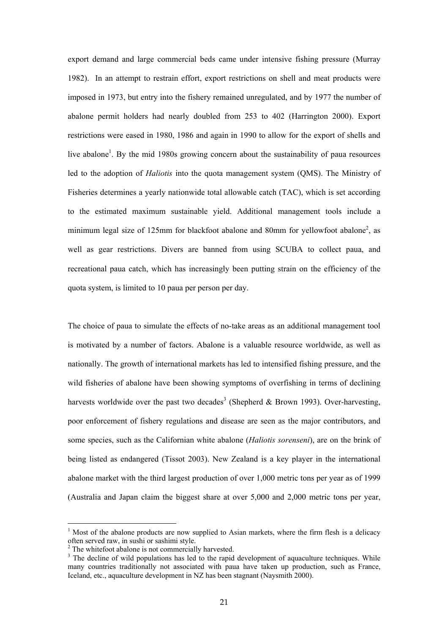export demand and large commercial beds came under intensive fishing pressure (Murray 1982). In an attempt to restrain effort, export restrictions on shell and meat products were imposed in 1973, but entry into the fishery remained unregulated, and by 1977 the number of abalone permit holders had nearly doubled from 253 to 402 (Harrington 2000). Export restrictions were eased in 1980, 1986 and again in 1990 to allow for the export of shells and live abalone<sup>1</sup>. By the mid 1980s growing concern about the sustainability of paua resources led to the adoption of *Haliotis* into the quota management system (QMS). The Ministry of Fisheries determines a yearly nationwide total allowable catch (TAC), which is set according to the estimated maximum sustainable yield. Additional management tools include a minimum legal size of 125mm for blackfoot abalone and 80mm for yellowfoot abalone<sup>2</sup>, as well as gear restrictions. Divers are banned from using SCUBA to collect paua, and recreational paua catch, which has increasingly been putting strain on the efficiency of the quota system, is limited to 10 paua per person per day.

The choice of paua to simulate the effects of no-take areas as an additional management tool is motivated by a number of factors. Abalone is a valuable resource worldwide, as well as nationally. The growth of international markets has led to intensified fishing pressure, and the wild fisheries of abalone have been showing symptoms of overfishing in terms of declining harvests worldwide over the past two decades<sup>[3](#page-5-2)</sup> (Shepherd & Brown 1993). Over-harvesting, poor enforcement of fishery regulations and disease are seen as the major contributors, and some species, such as the Californian white abalone (*Haliotis sorenseni*), are on the brink of being listed as endangered (Tissot 2003). New Zealand is a key player in the international abalone market with the third largest production of over 1,000 metric tons per year as of 1999 (Australia and Japan claim the biggest share at over 5,000 and 2,000 metric tons per year,

<span id="page-5-0"></span> $1$  Most of the abalone products are now supplied to Asian markets, where the firm flesh is a delicacy often served raw, in sushi or sashimi style. 2

<span id="page-5-1"></span> $2$  The whitefoot abalone is not commercially harvested.

<span id="page-5-2"></span><sup>&</sup>lt;sup>3</sup> The decline of wild populations has led to the rapid development of aquaculture techniques. While many countries traditionally not associated with paua have taken up production, such as France, Iceland, etc., aquaculture development in NZ has been stagnant (Naysmith 2000).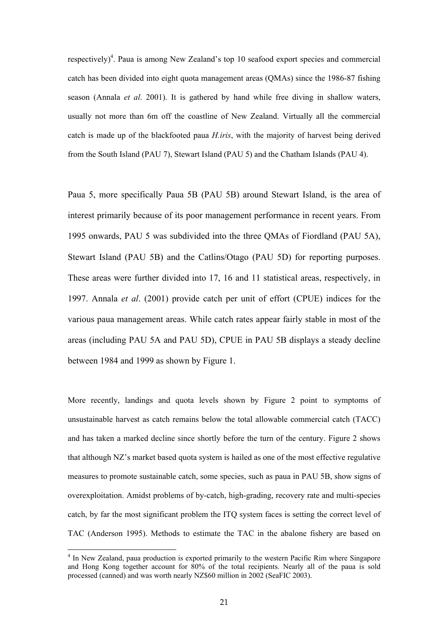respectively)<sup>4</sup>[.](#page-6-0) Paua is among New Zealand's top 10 seafood export species and commercial catch has been divided into eight quota management areas (QMAs) since the 1986-87 fishing season (Annala *et al*. 2001). It is gathered by hand while free diving in shallow waters, usually not more than 6m off the coastline of New Zealand. Virtually all the commercial catch is made up of the blackfooted paua *H.iris*, with the majority of harvest being derived from the South Island (PAU 7), Stewart Island (PAU 5) and the Chatham Islands (PAU 4).

Paua 5, more specifically Paua 5B (PAU 5B) around Stewart Island, is the area of interest primarily because of its poor management performance in recent years. From 1995 onwards, PAU 5 was subdivided into the three QMAs of Fiordland (PAU 5A), Stewart Island (PAU 5B) and the Catlins/Otago (PAU 5D) for reporting purposes. These areas were further divided into 17, 16 and 11 statistical areas, respectively, in 1997. Annala *et al*. (2001) provide catch per unit of effort (CPUE) indices for the various paua management areas. While catch rates appear fairly stable in most of the areas (including PAU 5A and PAU 5D), CPUE in PAU 5B displays a steady decline between 1984 and 1999 as shown by Figure 1.

More recently, landings and quota levels shown by Figure 2 point to symptoms of unsustainable harvest as catch remains below the total allowable commercial catch (TACC) and has taken a marked decline since shortly before the turn of the century. Figure 2 shows that although NZ's market based quota system is hailed as one of the most effective regulative measures to promote sustainable catch, some species, such as paua in PAU 5B, show signs of overexploitation. Amidst problems of by-catch, high-grading, recovery rate and multi-species catch, by far the most significant problem the ITQ system faces is setting the correct level of TAC (Anderson 1995). Methods to estimate the TAC in the abalone fishery are based on

<span id="page-6-0"></span><sup>&</sup>lt;sup>4</sup> In New Zealand, paua production is exported primarily to the western Pacific Rim where Singapore and Hong Kong together account for 80% of the total recipients. Nearly all of the paua is sold processed (canned) and was worth nearly NZ\$60 million in 2002 (SeaFIC 2003).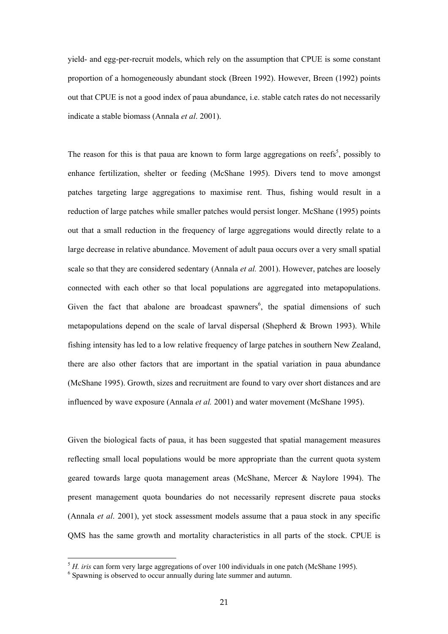yield- and egg-per-recruit models, which rely on the assumption that CPUE is some constant proportion of a homogeneously abundant stock (Breen 1992). However, Breen (1992) points out that CPUE is not a good index of paua abundance, i.e. stable catch rates do not necessarily indicate a stable biomass (Annala *et al*. 2001).

The reason for this is that paua are known to form large aggregations on reefs<sup>[5](#page-7-0)</sup>, possibly to enhance fertilization, shelter or feeding (McShane 1995). Divers tend to move amongst patches targeting large aggregations to maximise rent. Thus, fishing would result in a reduction of large patches while smaller patches would persist longer. McShane (1995) points out that a small reduction in the frequency of large aggregations would directly relate to a large decrease in relative abundance. Movement of adult paua occurs over a very small spatial scale so that they are considered sedentary (Annala *et al.* 2001). However, patches are loosely connected with each other so that local populations are aggregated into metapopulations. Given the fact that abalone are broadcast spawners<sup>[6](#page-7-1)</sup>, the spatial dimensions of such metapopulations depend on the scale of larval dispersal (Shepherd & Brown 1993). While fishing intensity has led to a low relative frequency of large patches in southern New Zealand, there are also other factors that are important in the spatial variation in paua abundance (McShane 1995). Growth, sizes and recruitment are found to vary over short distances and are influenced by wave exposure (Annala *et al.* 2001) and water movement (McShane 1995).

Given the biological facts of paua, it has been suggested that spatial management measures reflecting small local populations would be more appropriate than the current quota system geared towards large quota management areas (McShane, Mercer & Naylore 1994). The present management quota boundaries do not necessarily represent discrete paua stocks (Annala *et al*. 2001), yet stock assessment models assume that a paua stock in any specific QMS has the same growth and mortality characteristics in all parts of the stock. CPUE is

<span id="page-7-0"></span> $5$  *H. iris* can form very large aggregations of over 100 individuals in one patch (McShane 1995).

<span id="page-7-1"></span> $6$  Spawning is observed to occur annually during late summer and autumn.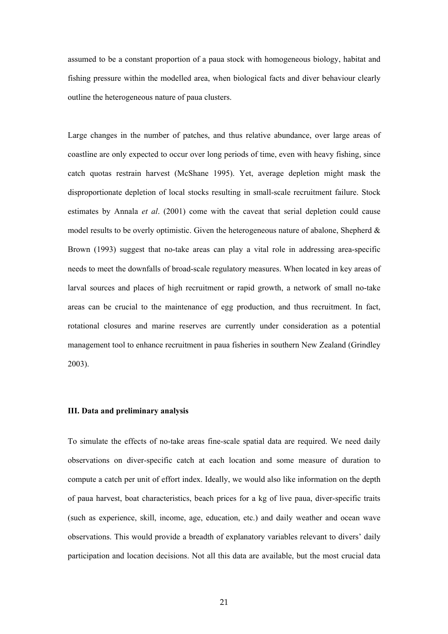assumed to be a constant proportion of a paua stock with homogeneous biology, habitat and fishing pressure within the modelled area, when biological facts and diver behaviour clearly outline the heterogeneous nature of paua clusters.

Large changes in the number of patches, and thus relative abundance, over large areas of coastline are only expected to occur over long periods of time, even with heavy fishing, since catch quotas restrain harvest (McShane 1995). Yet, average depletion might mask the disproportionate depletion of local stocks resulting in small-scale recruitment failure. Stock estimates by Annala *et al*. (2001) come with the caveat that serial depletion could cause model results to be overly optimistic. Given the heterogeneous nature of abalone, Shepherd  $\&$ Brown (1993) suggest that no-take areas can play a vital role in addressing area-specific needs to meet the downfalls of broad-scale regulatory measures. When located in key areas of larval sources and places of high recruitment or rapid growth, a network of small no-take areas can be crucial to the maintenance of egg production, and thus recruitment. In fact, rotational closures and marine reserves are currently under consideration as a potential management tool to enhance recruitment in paua fisheries in southern New Zealand (Grindley 2003).

## **III. Data and preliminary analysis**

To simulate the effects of no-take areas fine-scale spatial data are required. We need daily observations on diver-specific catch at each location and some measure of duration to compute a catch per unit of effort index. Ideally, we would also like information on the depth of paua harvest, boat characteristics, beach prices for a kg of live paua, diver-specific traits (such as experience, skill, income, age, education, etc.) and daily weather and ocean wave observations. This would provide a breadth of explanatory variables relevant to divers' daily participation and location decisions. Not all this data are available, but the most crucial data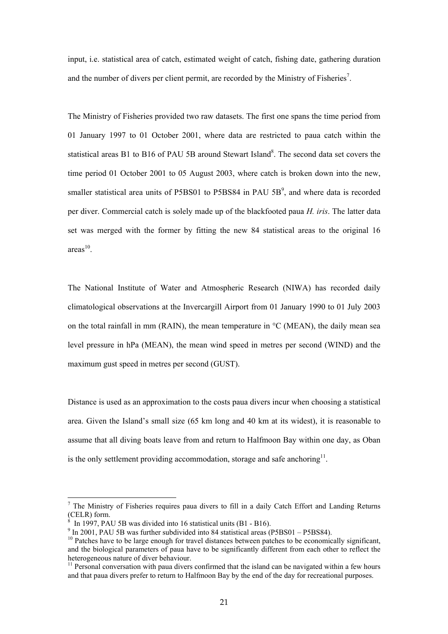input, i.e. statistical area of catch, estimated weight of catch, fishing date, gathering duration and the number of divers per client permit, are recorded by the Ministry of Fisheries<sup>7</sup>.

The Ministry of Fisheries provided two raw datasets. The first one spans the time period from 01 January 1997 to 01 October 2001, where data are restricted to paua catch within the statistical areas B1 to B16 of PAU 5B around Stewart Island<sup>8</sup>. The second data set covers the time period 01 October 2001 to 05 August 2003, where catch is broken down into the new, smaller statistical area units of P5BS01 to P5BS84 in PAU  $5B<sup>9</sup>$ [,](#page-9-2) and where data is recorded per diver. Commercial catch is solely made up of the blackfooted paua *H. iris*. The latter data set was merged with the former by fitting the new 84 statistical areas to the original 16  $area<sup>10</sup>$ 

The National Institute of Water and Atmospheric Research (NIWA) has recorded daily climatological observations at the Invercargill Airport from 01 January 1990 to 01 July 2003 on the total rainfall in mm (RAIN), the mean temperature in  $\rm{^{\circ}C}$  (MEAN), the daily mean sea level pressure in hPa (MEAN), the mean wind speed in metres per second (WIND) and the maximum gust speed in metres per second (GUST).

Distance is used as an approximation to the costs paua divers incur when choosing a statistical area. Given the Island's small size (65 km long and 40 km at its widest), it is reasonable to assume that all diving boats leave from and return to Halfmoon Bay within one day, as Oban is the only settlement providing accommodation, storage and safe anchoring<sup>11</sup>.

<span id="page-9-0"></span> $<sup>7</sup>$  The Ministry of Fisheries requires paua divers to fill in a daily Catch Effort and Landing Returns</sup> (CELR) form.<br><sup>8</sup> In 1997, PAU 5B was divided into 16 statistical units (B1 - B16).

<span id="page-9-1"></span>

<span id="page-9-2"></span> $\frac{1}{9}$  In 2001, PAU 5B was further subdivided into 84 statistical areas (P5BS01 - P5BS84).

<span id="page-9-3"></span> $10$  Patches have to be large enough for travel distances between patches to be economically significant, and the biological parameters of paua have to be significantly different from each other to reflect the heterogeneous nature of diver behaviour.<br><sup>11</sup> Personal conversation with paua divers confirmed that the island can be navigated within a few hours

<span id="page-9-4"></span>and that paua divers prefer to return to Halfmoon Bay by the end of the day for recreational purposes.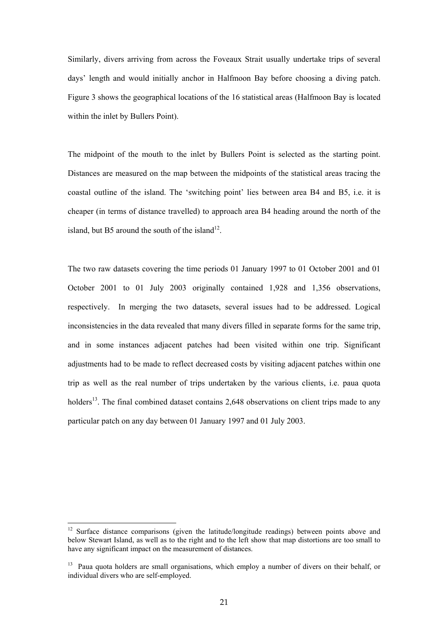Similarly, divers arriving from across the Foveaux Strait usually undertake trips of several days' length and would initially anchor in Halfmoon Bay before choosing a diving patch. Figure 3 shows the geographical locations of the 16 statistical areas (Halfmoon Bay is located within the inlet by Bullers Point).

The midpoint of the mouth to the inlet by Bullers Point is selected as the starting point. Distances are measured on the map between the midpoints of the statistical areas tracing the coastal outline of the island. The 'switching point' lies between area B4 and B5, i.e. it is cheaper (in terms of distance travelled) to approach area B4 heading around the north of the island, but B5 around the south of the island<sup>12</sup>.

The two raw datasets covering the time periods 01 January 1997 to 01 October 2001 and 01 October 2001 to 01 July 2003 originally contained 1,928 and 1,356 observations, respectively. In merging the two datasets, several issues had to be addressed. Logical inconsistencies in the data revealed that many divers filled in separate forms for the same trip, and in some instances adjacent patches had been visited within one trip. Significant adjustments had to be made to reflect decreased costs by visiting adjacent patches within one trip as well as the real number of trips undertaken by the various clients, i.e. paua quota holders<sup>13</sup>. The final combined dataset contains 2,648 observations on client trips made to any particular patch on any day between 01 January 1997 and 01 July 2003.

<span id="page-10-0"></span><sup>&</sup>lt;sup>12</sup> Surface distance comparisons (given the latitude/longitude readings) between points above and below Stewart Island, as well as to the right and to the left show that map distortions are too small to have any significant impact on the measurement of distances.

<span id="page-10-1"></span><sup>&</sup>lt;sup>13</sup> Paua quota holders are small organisations, which employ a number of divers on their behalf, or individual divers who are self-employed.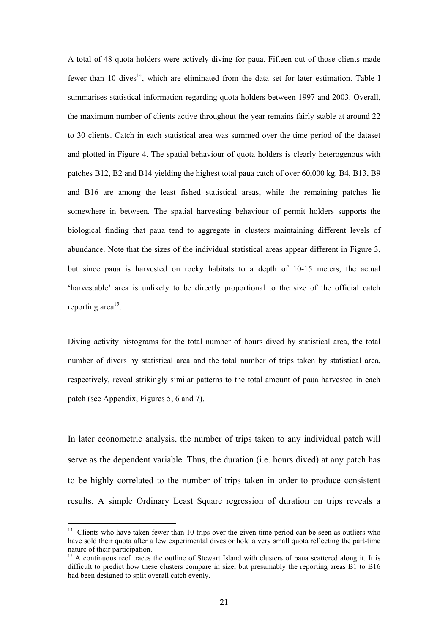A total of 48 quota holders were actively diving for paua. Fifteen out of those clients made fewer than 10 dives<sup>14</sup>, which are eliminated from the data set for later estimation. Table I summarises statistical information regarding quota holders between 1997 and 2003. Overall, the maximum number of clients active throughout the year remains fairly stable at around 22 to 30 clients. Catch in each statistical area was summed over the time period of the dataset and plotted in Figure 4. The spatial behaviour of quota holders is clearly heterogenous with patches B12, B2 and B14 yielding the highest total paua catch of over 60,000 kg. B4, B13, B9 and B16 are among the least fished statistical areas, while the remaining patches lie somewhere in between. The spatial harvesting behaviour of permit holders supports the biological finding that paua tend to aggregate in clusters maintaining different levels of abundance. Note that the sizes of the individual statistical areas appear different in Figure 3, but since paua is harvested on rocky habitats to a depth of 10-15 meters, the actual 'harvestable' area is unlikely to be directly proportional to the size of the official catch reporting area<sup>15</sup>.

Diving activity histograms for the total number of hours dived by statistical area, the total number of divers by statistical area and the total number of trips taken by statistical area, respectively, reveal strikingly similar patterns to the total amount of paua harvested in each patch (see Appendix, Figures 5, 6 and 7).

In later econometric analysis, the number of trips taken to any individual patch will serve as the dependent variable. Thus, the duration (i.e. hours dived) at any patch has to be highly correlated to the number of trips taken in order to produce consistent results. A simple Ordinary Least Square regression of duration on trips reveals a

<span id="page-11-0"></span> $14$  Clients who have taken fewer than 10 trips over the given time period can be seen as outliers who have sold their quota after a few experimental dives or hold a very small quota reflecting the part-time nature of their participation.<br><sup>15</sup> A continuous reef traces the outline of Stewart Island with clusters of paua scattered along it. It is

<span id="page-11-1"></span>difficult to predict how these clusters compare in size, but presumably the reporting areas B1 to B16 had been designed to split overall catch evenly.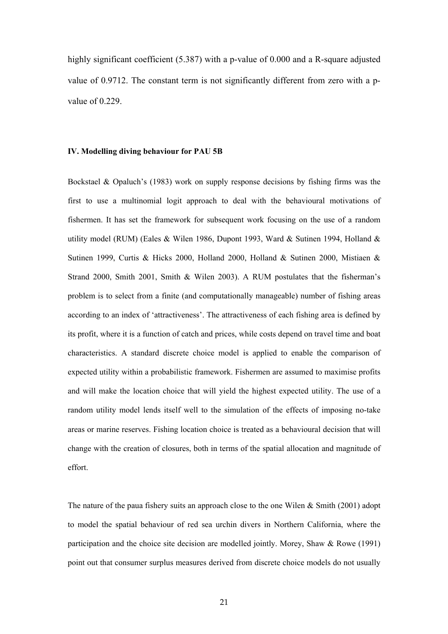highly significant coefficient (5.387) with a p-value of 0.000 and a R-square adjusted value of 0.9712. The constant term is not significantly different from zero with a pvalue of 0.229.

#### **IV. Modelling diving behaviour for PAU 5B**

Bockstael & Opaluch's (1983) work on supply response decisions by fishing firms was the first to use a multinomial logit approach to deal with the behavioural motivations of fishermen. It has set the framework for subsequent work focusing on the use of a random utility model (RUM) (Eales & Wilen 1986, Dupont 1993, Ward & Sutinen 1994, Holland & Sutinen 1999, Curtis & Hicks 2000, Holland 2000, Holland & Sutinen 2000, Mistiaen & Strand 2000, Smith 2001, Smith & Wilen 2003). A RUM postulates that the fisherman's problem is to select from a finite (and computationally manageable) number of fishing areas according to an index of 'attractiveness'. The attractiveness of each fishing area is defined by its profit, where it is a function of catch and prices, while costs depend on travel time and boat characteristics. A standard discrete choice model is applied to enable the comparison of expected utility within a probabilistic framework. Fishermen are assumed to maximise profits and will make the location choice that will yield the highest expected utility. The use of a random utility model lends itself well to the simulation of the effects of imposing no-take areas or marine reserves. Fishing location choice is treated as a behavioural decision that will change with the creation of closures, both in terms of the spatial allocation and magnitude of effort.

The nature of the paua fishery suits an approach close to the one Wilen  $\&$  Smith (2001) adopt to model the spatial behaviour of red sea urchin divers in Northern California, where the participation and the choice site decision are modelled jointly. Morey, Shaw & Rowe (1991) point out that consumer surplus measures derived from discrete choice models do not usually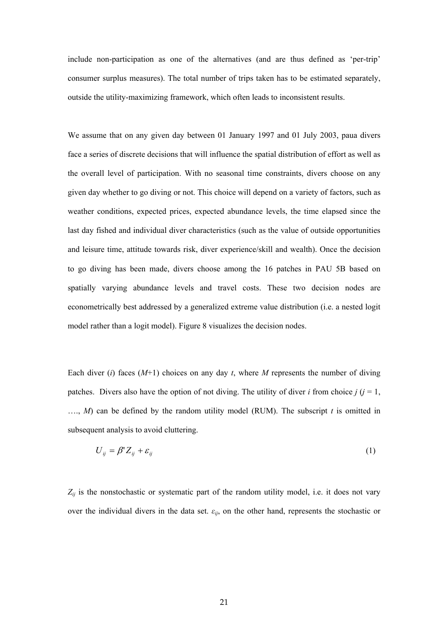include non-participation as one of the alternatives (and are thus defined as 'per-trip' consumer surplus measures). The total number of trips taken has to be estimated separately, outside the utility-maximizing framework, which often leads to inconsistent results.

We assume that on any given day between 01 January 1997 and 01 July 2003, paua divers face a series of discrete decisions that will influence the spatial distribution of effort as well as the overall level of participation. With no seasonal time constraints, divers choose on any given day whether to go diving or not. This choice will depend on a variety of factors, such as weather conditions, expected prices, expected abundance levels, the time elapsed since the last day fished and individual diver characteristics (such as the value of outside opportunities and leisure time, attitude towards risk, diver experience/skill and wealth). Once the decision to go diving has been made, divers choose among the 16 patches in PAU 5B based on spatially varying abundance levels and travel costs. These two decision nodes are econometrically best addressed by a generalized extreme value distribution (i.e. a nested logit model rather than a logit model). Figure 8 visualizes the decision nodes.

Each diver (*i*) faces  $(M+1)$  choices on any day *t*, where *M* represents the number of diving patches. Divers also have the option of not diving. The utility of diver *i* from choice  $j$  ( $j = 1$ , …., *M*) can be defined by the random utility model (RUM). The subscript *t* is omitted in subsequent analysis to avoid cluttering.

$$
U_{ij} = \beta' Z_{ij} + \varepsilon_{ij} \tag{1}
$$

 $Z_{ij}$  is the nonstochastic or systematic part of the random utility model, i.e. it does not vary over the individual divers in the data set.  $\varepsilon_{ij}$ , on the other hand, represents the stochastic or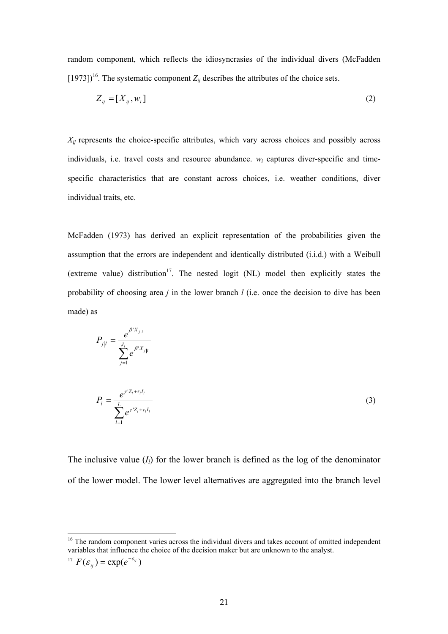random component, which reflects the idiosyncrasies of the individual divers (McFadden [1973]<sup>16</sup>. The systematic component  $Z_{ij}$  describes the attributes of the choice sets.

$$
Z_{ij} = [X_{ij}, w_i]
$$
 (2)

 $X_{ij}$  represents the choice-specific attributes, which vary across choices and possibly across individuals, i.e. travel costs and resource abundance. *wi* captures diver-specific and timespecific characteristics that are constant across choices, i.e. weather conditions, diver individual traits, etc.

McFadden (1973) has derived an explicit representation of the probabilities given the assumption that the errors are independent and identically distributed (i.i.d.) with a Weibull (extreme value) distribution<sup>17</sup>. The nested logit (NL) model then explicitly states the probability of choosing area *j* in the lower branch *l* (i.e. once the decision to dive has been made) as

$$
P_{j|l} = \frac{e^{\beta' X_{j|l}}}{\sum_{j=1}^{J_l} e^{\beta' X_{j|l}}}
$$
  

$$
P_l = \frac{e^{\gamma' Z_l + \tau_l I_l}}{\sum_{l=1}^{L} e^{\gamma' Z_l + \tau_l I_l}}
$$
 (3)

The inclusive value  $(I_l)$  for the lower branch is defined as the log of the denominator of the lower model. The lower level alternatives are aggregated into the branch level

<span id="page-14-1"></span>
$$
^{17} F(\varepsilon_{ij}) = \exp(e^{-\varepsilon_{ij}})
$$

<span id="page-14-0"></span><sup>&</sup>lt;sup>16</sup> The random component varies across the individual divers and takes account of omitted independent variables that influence the choice of the decision maker but are unknown to the analyst.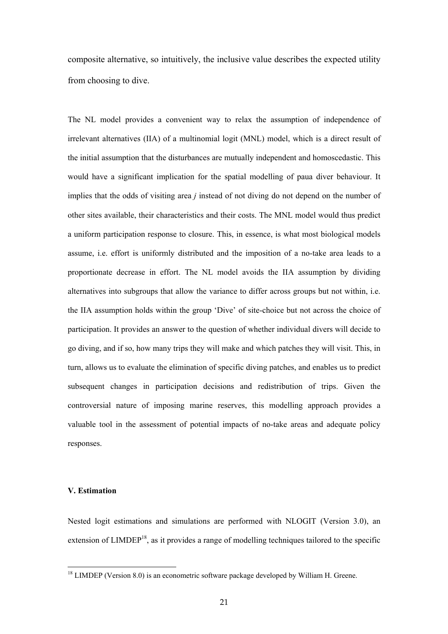composite alternative, so intuitively, the inclusive value describes the expected utility from choosing to dive.

The NL model provides a convenient way to relax the assumption of independence of irrelevant alternatives (IIA) of a multinomial logit (MNL) model, which is a direct result of the initial assumption that the disturbances are mutually independent and homoscedastic. This would have a significant implication for the spatial modelling of paua diver behaviour. It implies that the odds of visiting area *j* instead of not diving do not depend on the number of other sites available, their characteristics and their costs. The MNL model would thus predict a uniform participation response to closure. This, in essence, is what most biological models assume, i.e. effort is uniformly distributed and the imposition of a no-take area leads to a proportionate decrease in effort. The NL model avoids the IIA assumption by dividing alternatives into subgroups that allow the variance to differ across groups but not within, i.e. the IIA assumption holds within the group 'Dive' of site-choice but not across the choice of participation. It provides an answer to the question of whether individual divers will decide to go diving, and if so, how many trips they will make and which patches they will visit. This, in turn, allows us to evaluate the elimination of specific diving patches, and enables us to predict subsequent changes in participation decisions and redistribution of trips. Given the controversial nature of imposing marine reserves, this modelling approach provides a valuable tool in the assessment of potential impacts of no-take areas and adequate policy responses.

## **V. Estimation**

Nested logit estimations and simulations are performed with NLOGIT (Version 3.0), an extension of  $LIMDEP<sup>18</sup>$ , as it provides a range of modelling techniques tailored to the specific

<span id="page-15-0"></span><sup>&</sup>lt;sup>18</sup> LIMDEP (Version 8.0) is an econometric software package developed by William H. Greene.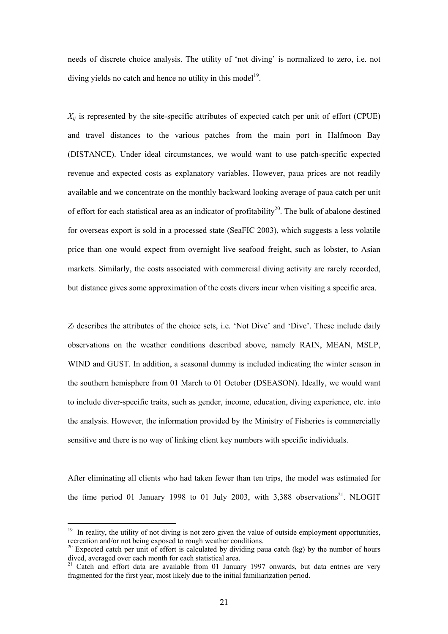needs of discrete choice analysis. The utility of 'not diving' is normalized to zero, i.e. not diving yields no catch and hence no utility in this model<sup>19</sup>.

 $X_{ii}$  is represented by the site-specific attributes of expected catch per unit of effort (CPUE) and travel distances to the various patches from the main port in Halfmoon Bay (DISTANCE). Under ideal circumstances, we would want to use patch-specific expected revenue and expected costs as explanatory variables. However, paua prices are not readily available and we concentrate on the monthly backward looking average of paua catch per unit of effort for each statistical area as an indicator of profitability<sup>20</sup>. The bulk of abalone destined for overseas export is sold in a processed state (SeaFIC 2003), which suggests a less volatile price than one would expect from overnight live seafood freight, such as lobster, to Asian markets. Similarly, the costs associated with commercial diving activity are rarely recorded, but distance gives some approximation of the costs divers incur when visiting a specific area.

*Zl* describes the attributes of the choice sets, i.e. 'Not Dive' and 'Dive'. These include daily observations on the weather conditions described above, namely RAIN, MEAN, MSLP, WIND and GUST. In addition, a seasonal dummy is included indicating the winter season in the southern hemisphere from 01 March to 01 October (DSEASON). Ideally, we would want to include diver-specific traits, such as gender, income, education, diving experience, etc. into the analysis. However, the information provided by the Ministry of Fisheries is commercially sensitive and there is no way of linking client key numbers with specific individuals.

After eliminating all clients who had taken fewer than ten trips, the model was estimated for the time period 01 January 1998 to 01 July 2003, with  $3,388$  observations<sup>21</sup>. NLOGIT

<span id="page-16-0"></span><sup>&</sup>lt;sup>19</sup> In reality, the utility of not diving is not zero given the value of outside employment opportunities, recreation and/or not being exposed to rough weather conditions.

<span id="page-16-1"></span><sup>&</sup>lt;sup>20</sup> Expected catch per unit of effort is calculated by dividing paua catch (kg) by the number of hours dived, averaged over each month for each statistical area.<br><sup>21</sup> Catch and effort data are available from 01 January 1997 onwards, but data entries are very

<span id="page-16-2"></span>fragmented for the first year, most likely due to the initial familiarization period.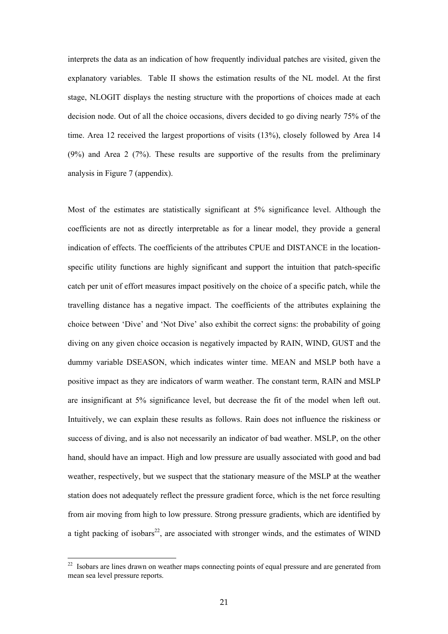interprets the data as an indication of how frequently individual patches are visited, given the explanatory variables. Table II shows the estimation results of the NL model. At the first stage, NLOGIT displays the nesting structure with the proportions of choices made at each decision node. Out of all the choice occasions, divers decided to go diving nearly 75% of the time. Area 12 received the largest proportions of visits (13%), closely followed by Area 14 (9%) and Area 2 (7%). These results are supportive of the results from the preliminary analysis in Figure 7 (appendix).

Most of the estimates are statistically significant at 5% significance level. Although the coefficients are not as directly interpretable as for a linear model, they provide a general indication of effects. The coefficients of the attributes CPUE and DISTANCE in the locationspecific utility functions are highly significant and support the intuition that patch-specific catch per unit of effort measures impact positively on the choice of a specific patch, while the travelling distance has a negative impact. The coefficients of the attributes explaining the choice between 'Dive' and 'Not Dive' also exhibit the correct signs: the probability of going diving on any given choice occasion is negatively impacted by RAIN, WIND, GUST and the dummy variable DSEASON, which indicates winter time. MEAN and MSLP both have a positive impact as they are indicators of warm weather. The constant term, RAIN and MSLP are insignificant at 5% significance level, but decrease the fit of the model when left out. Intuitively, we can explain these results as follows. Rain does not influence the riskiness or success of diving, and is also not necessarily an indicator of bad weather. MSLP, on the other hand, should have an impact. High and low pressure are usually associated with good and bad weather, respectively, but we suspect that the stationary measure of the MSLP at the weather station does not adequately reflect the pressure gradient force, which is the net force resulting from air moving from high to low pressure. Strong pressure gradients, which are identified by a tight packing of isobars<sup>22</sup>, are associated with stronger winds, and the estimates of WIND

<span id="page-17-0"></span><sup>&</sup>lt;sup>22</sup> Isobars are lines drawn on weather maps connecting points of equal pressure and are generated from mean sea level pressure reports.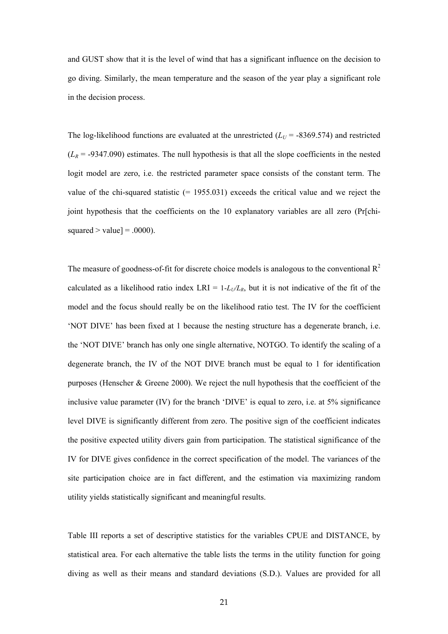and GUST show that it is the level of wind that has a significant influence on the decision to go diving. Similarly, the mean temperature and the season of the year play a significant role in the decision process.

The log-likelihood functions are evaluated at the unrestricted  $(L_U = -8369.574)$  and restricted  $(L_R = -9347.090)$  estimates. The null hypothesis is that all the slope coefficients in the nested logit model are zero, i.e. the restricted parameter space consists of the constant term. The value of the chi-squared statistic (= 1955.031) exceeds the critical value and we reject the joint hypothesis that the coefficients on the 10 explanatory variables are all zero (Pr[chisquared  $>$  value] = .0000).

The measure of goodness-of-fit for discrete choice models is analogous to the conventional  $\mathbb{R}^2$ calculated as a likelihood ratio index LRI =  $1-L_v/L_R$ , but it is not indicative of the fit of the model and the focus should really be on the likelihood ratio test. The IV for the coefficient 'NOT DIVE' has been fixed at 1 because the nesting structure has a degenerate branch, i.e. the 'NOT DIVE' branch has only one single alternative, NOTGO. To identify the scaling of a degenerate branch, the IV of the NOT DIVE branch must be equal to 1 for identification purposes (Henscher & Greene 2000). We reject the null hypothesis that the coefficient of the inclusive value parameter (IV) for the branch 'DIVE' is equal to zero, i.e. at 5% significance level DIVE is significantly different from zero. The positive sign of the coefficient indicates the positive expected utility divers gain from participation. The statistical significance of the IV for DIVE gives confidence in the correct specification of the model. The variances of the site participation choice are in fact different, and the estimation via maximizing random utility yields statistically significant and meaningful results.

Table III reports a set of descriptive statistics for the variables CPUE and DISTANCE, by statistical area. For each alternative the table lists the terms in the utility function for going diving as well as their means and standard deviations (S.D.). Values are provided for all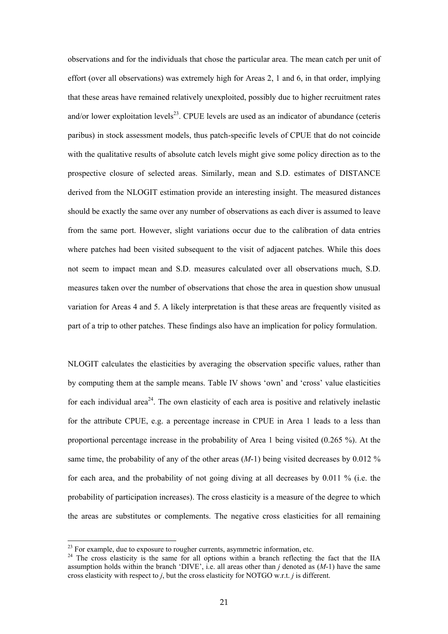observations and for the individuals that chose the particular area. The mean catch per unit of effort (over all observations) was extremely high for Areas 2, 1 and 6, in that order, implying that these areas have remained relatively unexploited, possibly due to higher recruitment rates and/or lower exploitation levels<sup>23</sup>. CPUE levels are used as an indicator of abundance (ceteris paribus) in stock assessment models, thus patch-specific levels of CPUE that do not coincide with the qualitative results of absolute catch levels might give some policy direction as to the prospective closure of selected areas. Similarly, mean and S.D. estimates of DISTANCE derived from the NLOGIT estimation provide an interesting insight. The measured distances should be exactly the same over any number of observations as each diver is assumed to leave from the same port. However, slight variations occur due to the calibration of data entries where patches had been visited subsequent to the visit of adjacent patches. While this does not seem to impact mean and S.D. measures calculated over all observations much, S.D. measures taken over the number of observations that chose the area in question show unusual variation for Areas 4 and 5. A likely interpretation is that these areas are frequently visited as part of a trip to other patches. These findings also have an implication for policy formulation.

NLOGIT calculates the elasticities by averaging the observation specific values, rather than by computing them at the sample means. Table IV shows 'own' and 'cross' value elasticities for each individual area<sup>24</sup>. The own elasticity of each area is positive and relatively inelastic for the attribute CPUE, e.g. a percentage increase in CPUE in Area 1 leads to a less than proportional percentage increase in the probability of Area 1 being visited (0.265 %). At the same time, the probability of any of the other areas  $(M-1)$  being visited decreases by 0.012 % for each area, and the probability of not going diving at all decreases by 0.011 % (i.e. the probability of participation increases). The cross elasticity is a measure of the degree to which the areas are substitutes or complements. The negative cross elasticities for all remaining

<span id="page-19-1"></span><span id="page-19-0"></span>

<sup>&</sup>lt;sup>23</sup> For example, due to exposure to rougher currents, asymmetric information, etc. <sup>24</sup> The cross elasticity is the same for all options within a branch reflecting the fact that the IIA assumption holds within the branch 'DIVE', i.e. all areas other than *j* denoted as (*M*-1) have the same cross elasticity with respect to *j*, but the cross elasticity for NOTGO w.r.t. *j* is different.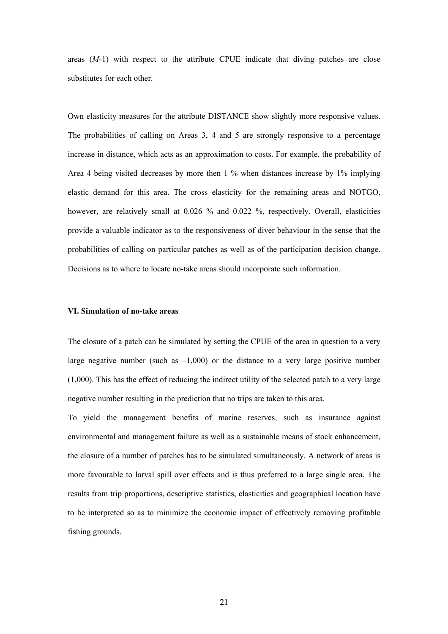areas (*M*-1) with respect to the attribute CPUE indicate that diving patches are close substitutes for each other.

Own elasticity measures for the attribute DISTANCE show slightly more responsive values. The probabilities of calling on Areas 3, 4 and 5 are strongly responsive to a percentage increase in distance, which acts as an approximation to costs. For example, the probability of Area 4 being visited decreases by more then 1 % when distances increase by 1% implying elastic demand for this area. The cross elasticity for the remaining areas and NOTGO, however, are relatively small at 0.026 % and 0.022 %, respectively. Overall, elasticities provide a valuable indicator as to the responsiveness of diver behaviour in the sense that the probabilities of calling on particular patches as well as of the participation decision change. Decisions as to where to locate no-take areas should incorporate such information.

## **VI. Simulation of no-take areas**

The closure of a patch can be simulated by setting the CPUE of the area in question to a very large negative number (such as  $-1,000$ ) or the distance to a very large positive number (1,000). This has the effect of reducing the indirect utility of the selected patch to a very large negative number resulting in the prediction that no trips are taken to this area.

To yield the management benefits of marine reserves, such as insurance against environmental and management failure as well as a sustainable means of stock enhancement, the closure of a number of patches has to be simulated simultaneously. A network of areas is more favourable to larval spill over effects and is thus preferred to a large single area. The results from trip proportions, descriptive statistics, elasticities and geographical location have to be interpreted so as to minimize the economic impact of effectively removing profitable fishing grounds.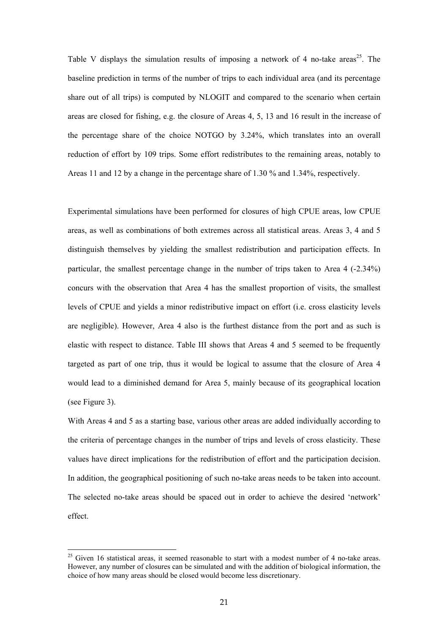Table V displays the simulation results of imposing a network of 4 no-take areas<sup>25</sup>. The baseline prediction in terms of the number of trips to each individual area (and its percentage share out of all trips) is computed by NLOGIT and compared to the scenario when certain areas are closed for fishing, e.g. the closure of Areas 4, 5, 13 and 16 result in the increase of the percentage share of the choice NOTGO by 3.24%, which translates into an overall reduction of effort by 109 trips. Some effort redistributes to the remaining areas, notably to Areas 11 and 12 by a change in the percentage share of 1.30 % and 1.34%, respectively.

Experimental simulations have been performed for closures of high CPUE areas, low CPUE areas, as well as combinations of both extremes across all statistical areas. Areas 3, 4 and 5 distinguish themselves by yielding the smallest redistribution and participation effects. In particular, the smallest percentage change in the number of trips taken to Area 4 (-2.34%) concurs with the observation that Area 4 has the smallest proportion of visits, the smallest levels of CPUE and yields a minor redistributive impact on effort (i.e. cross elasticity levels are negligible). However, Area 4 also is the furthest distance from the port and as such is elastic with respect to distance. Table III shows that Areas 4 and 5 seemed to be frequently targeted as part of one trip, thus it would be logical to assume that the closure of Area 4 would lead to a diminished demand for Area 5, mainly because of its geographical location (see Figure 3).

With Areas 4 and 5 as a starting base, various other areas are added individually according to the criteria of percentage changes in the number of trips and levels of cross elasticity. These values have direct implications for the redistribution of effort and the participation decision. In addition, the geographical positioning of such no-take areas needs to be taken into account. The selected no-take areas should be spaced out in order to achieve the desired 'network' effect.

<span id="page-21-0"></span><sup>&</sup>lt;sup>25</sup> Given 16 statistical areas, it seemed reasonable to start with a modest number of 4 no-take areas. However, any number of closures can be simulated and with the addition of biological information, the choice of how many areas should be closed would become less discretionary.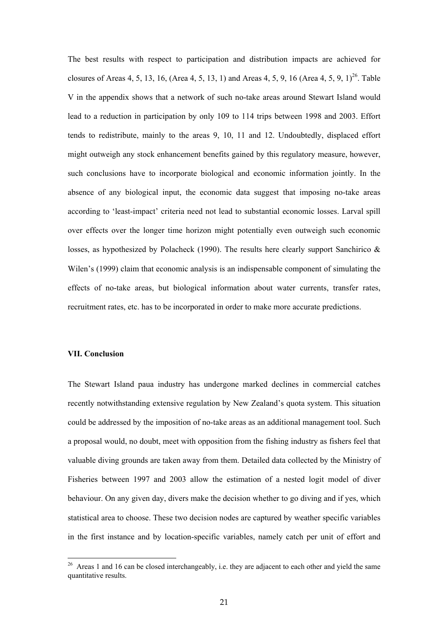The best results with respect to participation and distribution impacts are achieved for closures of Areas 4, 5, 13, 16, (Area 4, 5, 13, 1) and Areas 4, 5, 9, 16 (Area 4, 5, 9, 1)<sup>26</sup>. Table V in the appendix shows that a network of such no-take areas around Stewart Island would lead to a reduction in participation by only 109 to 114 trips between 1998 and 2003. Effort tends to redistribute, mainly to the areas 9, 10, 11 and 12. Undoubtedly, displaced effort might outweigh any stock enhancement benefits gained by this regulatory measure, however, such conclusions have to incorporate biological and economic information jointly. In the absence of any biological input, the economic data suggest that imposing no-take areas according to 'least-impact' criteria need not lead to substantial economic losses. Larval spill over effects over the longer time horizon might potentially even outweigh such economic losses, as hypothesized by Polacheck (1990). The results here clearly support Sanchirico  $\&$ Wilen's (1999) claim that economic analysis is an indispensable component of simulating the effects of no-take areas, but biological information about water currents, transfer rates, recruitment rates, etc. has to be incorporated in order to make more accurate predictions.

## **VII. Conclusion**

The Stewart Island paua industry has undergone marked declines in commercial catches recently notwithstanding extensive regulation by New Zealand's quota system. This situation could be addressed by the imposition of no-take areas as an additional management tool. Such a proposal would, no doubt, meet with opposition from the fishing industry as fishers feel that valuable diving grounds are taken away from them. Detailed data collected by the Ministry of Fisheries between 1997 and 2003 allow the estimation of a nested logit model of diver behaviour. On any given day, divers make the decision whether to go diving and if yes, which statistical area to choose. These two decision nodes are captured by weather specific variables in the first instance and by location-specific variables, namely catch per unit of effort and

<span id="page-22-0"></span><sup>&</sup>lt;sup>26</sup> Areas 1 and 16 can be closed interchangeably, i.e. they are adjacent to each other and yield the same quantitative results.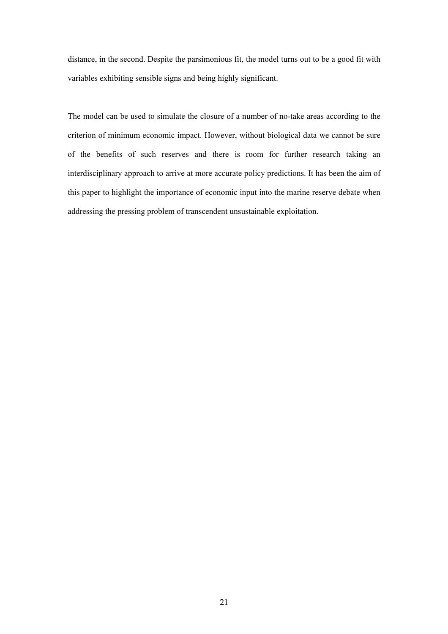distance, in the second. Despite the parsimonious fit, the model turns out to be a good fit with variables exhibiting sensible signs and being highly significant.

The model can be used to simulate the closure of a number of no-take areas according to the criterion of minimum economic impact. However, without biological data we cannot be sure of the benefits of such reserves and there is room for further research taking an interdisciplinary approach to arrive at more accurate policy predictions. It has been the aim of this paper to highlight the importance of economic input into the marine reserve debate when addressing the pressing problem of transcendent unsustainable exploitation.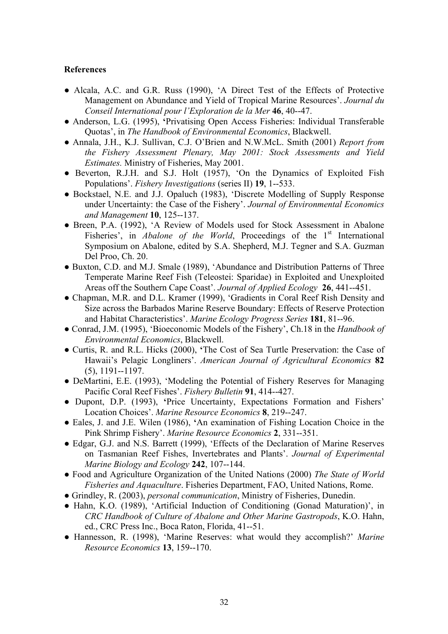## **References**

- Alcala, A.C. and G.R. Russ (1990), 'A Direct Test of the Effects of Protective Management on Abundance and Yield of Tropical Marine Resources'. *Journal du Conseil International pour l'Exploration de la Mer* **46**, 40--47.
- **●** Anderson, L.G. (1995), **'**Privatising Open Access Fisheries: Individual Transferable Quotas', in *The Handbook of Environmental Economics*, Blackwell.
- **●** Annala, J.H., K.J. Sullivan, C.J. O'Brien and N.W.McL. Smith (2001) *Report from the Fishery Assessment Plenary, May 2001: Stock Assessments and Yield Estimates.* Ministry of Fisheries, May 2001.
- **●** Beverton, R.J.H. and S.J. Holt (1957), 'On the Dynamics of Exploited Fish Populations'. *Fishery Investigations* (series II) **19**, 1--533.
- **●** Bockstael, N.E. and J.J. Opaluch (1983), 'Discrete Modelling of Supply Response under Uncertainty: the Case of the Fishery'. *Journal of Environmental Economics and Management* **10**, 125--137.
- **●** Breen, P.A. (1992), 'A Review of Models used for Stock Assessment in Abalone Fisheries', in *Abalone of the World*, Proceedings of the 1<sup>st</sup> International Symposium on Abalone, edited by S.A. Shepherd, M.J. Tegner and S.A. Guzman Del Proo, Ch. 20.
- Buxton, C.D. and M.J. Smale (1989), 'Abundance and Distribution Patterns of Three Temperate Marine Reef Fish (Teleostei: Sparidae) in Exploited and Unexploited Areas off the Southern Cape Coast'. *Journal of Applied Ecology* **26**, 441--451.
- Chapman, M.R. and D.L. Kramer (1999), 'Gradients in Coral Reef Rish Density and Size across the Barbados Marine Reserve Boundary: Effects of Reserve Protection and Habitat Characteristics'. *Marine Ecology Progress Series* **181**, 81--96.
- **●** Conrad, J.M. (1995), 'Bioeconomic Models of the Fishery', Ch.18 in the *Handbook of Environmental Economics*, Blackwell.
- **●** Curtis, R. and R.L. Hicks (2000), **'**The Cost of Sea Turtle Preservation: the Case of Hawaii's Pelagic Longliners'. *American Journal of Agricultural Economics* **82** (5), 1191--1197.
- **●** DeMartini, E.E. (1993), 'Modeling the Potential of Fishery Reserves for Managing Pacific Coral Reef Fishes'. *Fishery Bulletin* **91**, 414--427.
- **●** Dupont, D.P. (1993), **'**Price Uncertainty, Expectations Formation and Fishers' Location Choices'. *Marine Resource Economics* **8**, 219--247.
- **●** Eales, J. and J.E. Wilen (1986), **'**An examination of Fishing Location Choice in the Pink Shrimp Fishery'. *Marine Resource Economics* **2**, 331--351.
- Edgar, G.J. and N.S. Barrett (1999), 'Effects of the Declaration of Marine Reserves on Tasmanian Reef Fishes, Invertebrates and Plants'. *Journal of Experimental Marine Biology and Ecology* **242**, 107--144.
- Food and Agriculture Organization of the United Nations (2000) *The State of World Fisheries and Aquaculture*. Fisheries Department, FAO, United Nations, Rome.
- **●** Grindley, R. (2003), *personal communication*, Ministry of Fisheries, Dunedin.
- **●** Hahn, K.O. (1989), 'Artificial Induction of Conditioning (Gonad Maturation)', in *CRC Handbook of Culture of Abalone and Other Marine Gastropods*, K.O. Hahn, ed., CRC Press Inc., Boca Raton, Florida, 41--51.
- Hannesson, R. (1998), 'Marine Reserves: what would they accomplish?' *Marine Resource Economics* **13**, 159--170.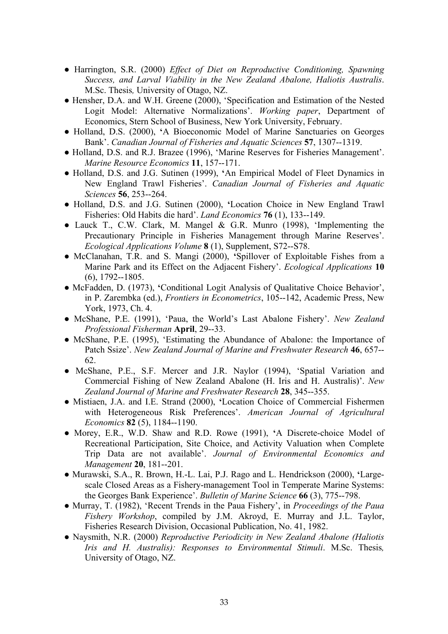- **●** Harrington, S.R. (2000) *Effect of Diet on Reproductive Conditioning, Spawning Success, and Larval Viability in the New Zealand Abalone, Haliotis Australis*. M.Sc. Thesis*,* University of Otago, NZ.
- **●** Hensher, D.A. and W.H. Greene (2000), 'Specification and Estimation of the Nested Logit Model: Alternative Normalizations'. *Working paper*, Department of Economics, Stern School of Business, New York University, February.
- **●** Holland, D.S. (2000), **'**A Bioeconomic Model of Marine Sanctuaries on Georges Bank'. *Canadian Journal of Fisheries and Aquatic Sciences* **57**, 1307--1319.
- **●** Holland, D.S. and R.J. Brazee (1996), 'Marine Reserves for Fisheries Management'. *Marine Resource Economics* **11**, 157--171.
- **●** Holland, D.S. and J.G. Sutinen (1999), **'**An Empirical Model of Fleet Dynamics in New England Trawl Fisheries'. *Canadian Journal of Fisheries and Aquatic Sciences* **56**, 253--264.
- **●** Holland, D.S. and J.G. Sutinen (2000), **'**Location Choice in New England Trawl Fisheries: Old Habits die hard'. *Land Economics* **76** (1), 133--149.
- Lauck T., C.W. Clark, M. Mangel & G.R. Munro (1998), 'Implementing the Precautionary Principle in Fisheries Management through Marine Reserves'. *Ecological Applications Volume* **8** (1), Supplement, S72--S78.
- **●** McClanahan, T.R. and S. Mangi (2000), **'**Spillover of Exploitable Fishes from a Marine Park and its Effect on the Adjacent Fishery'. *Ecological Applications* **10** (6), 1792--1805.
- **●** McFadden, D. (1973), **'**Conditional Logit Analysis of Qualitative Choice Behavior', in P. Zarembka (ed.), *Frontiers in Econometrics*, 105--142, Academic Press, New York, 1973, Ch. 4.
- McShane, P.E. (1991), 'Paua, the World's Last Abalone Fishery'. *New Zealand Professional Fisherman* **April**, 29--33.
- **●** McShane, P.E. (1995), 'Estimating the Abundance of Abalone: the Importance of Patch Ssize'. *New Zealand Journal of Marine and Freshwater Research* **46**, 657-- 62.
- **●** McShane, P.E., S.F. Mercer and J.R. Naylor (1994), 'Spatial Variation and Commercial Fishing of New Zealand Abalone (H. Iris and H. Australis)'. *New Zealand Journal of Marine and Freshwater Research* **28**, 345--355.
- **●** Mistiaen, J.A. and I.E. Strand (2000), **'**Location Choice of Commercial Fishermen with Heterogeneous Risk Preferences'. *American Journal of Agricultural Economics* **82** (5), 1184--1190.
- **●** Morey, E.R., W.D. Shaw and R.D. Rowe (1991), **'**A Discrete-choice Model of Recreational Participation, Site Choice, and Activity Valuation when Complete Trip Data are not available'. *Journal of Environmental Economics and Management* **20**, 181--201.
- **●** Murawski, S.A., R. Brown, H.-L. Lai, P.J. Rago and L. Hendrickson (2000), **'**Largescale Closed Areas as a Fishery-management Tool in Temperate Marine Systems: the Georges Bank Experience'. *Bulletin of Marine Science* **66** (3), 775--798.
- **●** Murray, T. (1982), 'Recent Trends in the Paua Fishery', in *Proceedings of the Paua Fishery Workshop*, compiled by J.M. Akroyd, E. Murray and J.L. Taylor, Fisheries Research Division, Occasional Publication, No. 41, 1982.
- **●** Naysmith, N.R. (2000) *Reproductive Periodicity in New Zealand Abalone (Haliotis Iris and H. Australis): Responses to Environmental Stimuli*. M.Sc. Thesis*,*  University of Otago, NZ.